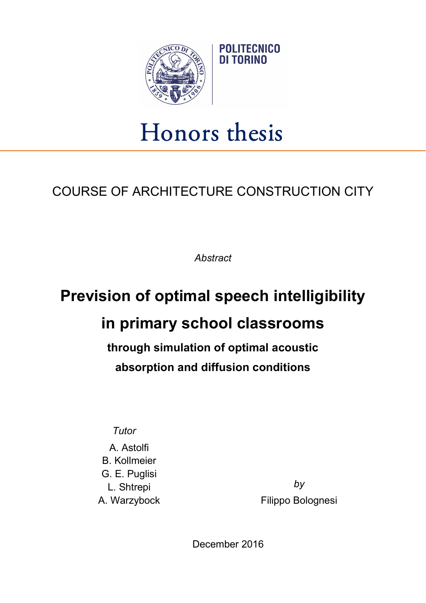

## Honors thesis

**POLITECNICO** DI TORINO

## COURSE OF ARCHITECTURE CONSTRUCTION CITY

**Abstract** 

## Prevision of optimal speech intelligibility in primary school classrooms

through simulation of optimal acoustic absorption and diffusion conditions

**Tutor** 

A. Astolfi B. Kollmeier G. E. Puglisi L. Shtrepi A. Warzybock

by Filippo Bolognesi

December 2016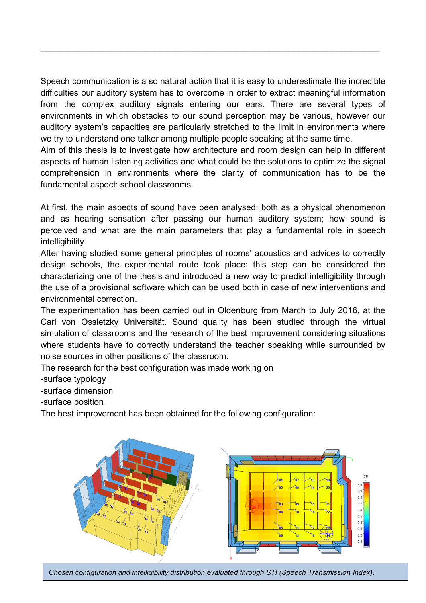Speech communication is a so natural action that it is easy to underestimate the incredible difficulties our auditory system has to overcome in order to extract meaningful information from the complex auditory signals entering our ears. There are several types of environments in which obstacles to our sound perception may be various, however our auditory system's capacities are particularly stretched to the limit in environments where we try to understand one talker among multiple people speaking at the same time.

 $\mathcal{L}_\mathcal{L} = \mathcal{L}_\mathcal{L} = \mathcal{L}_\mathcal{L} = \mathcal{L}_\mathcal{L} = \mathcal{L}_\mathcal{L} = \mathcal{L}_\mathcal{L} = \mathcal{L}_\mathcal{L} = \mathcal{L}_\mathcal{L} = \mathcal{L}_\mathcal{L} = \mathcal{L}_\mathcal{L} = \mathcal{L}_\mathcal{L} = \mathcal{L}_\mathcal{L} = \mathcal{L}_\mathcal{L} = \mathcal{L}_\mathcal{L} = \mathcal{L}_\mathcal{L} = \mathcal{L}_\mathcal{L} = \mathcal{L}_\mathcal{L}$ 

Aim of this thesis is to investigate how architecture and room design can help in different aspects of human listening activities and what could be the solutions to optimize the signal comprehension in environments where the clarity of communication has to be the fundamental aspect: school classrooms.

At first, the main aspects of sound have been analysed: both as a physical phenomenon and as hearing sensation after passing our human auditory system; how sound is perceived and what are the main parameters that play a fundamental role in speech intelligibility.

After having studied some general principles of rooms' acoustics and advices to correctly design schools, the experimental route took place: this step can be considered the characterizing one of the thesis and introduced a new way to predict intelligibility through the use of a provisional software which can be used both in case of new interventions and environmental correction.

The experimentation has been carried out in Oldenburg from March to July 2016, at the Carl von Ossietzky Universität. Sound quality has been studied through the virtual simulation of classrooms and the research of the best improvement considering situations where students have to correctly understand the teacher speaking while surrounded by noise sources in other positions of the classroom.

The research for the best configuration was made working on

-surface typology

-surface dimension

-surface position

The best improvement has been obtained for the following configuration:



Chosen configuration and intelligibility distribution evaluated through STI (Speech Transmission Index).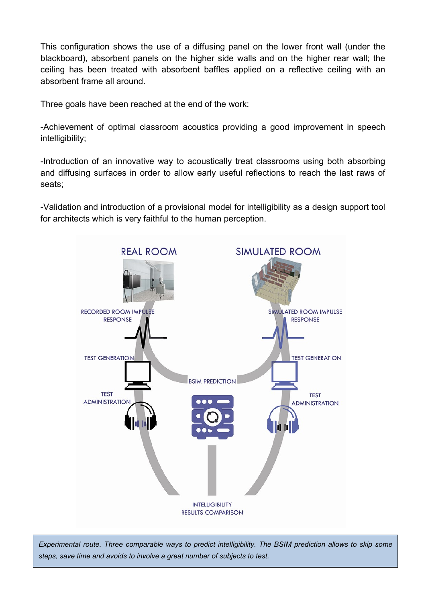This configuration shows the use of a diffusing panel on the lower front wall (under the blackboard), absorbent panels on the higher side walls and on the higher rear wall; the ceiling has been treated with absorbent baffles applied on a reflective ceiling with an absorbent frame all around.

Three goals have been reached at the end of the work:

-Achievement of optimal classroom acoustics providing a good improvement in speech intelligibility;

-Introduction of an innovative way to acoustically treat classrooms using both absorbing and diffusing surfaces in order to allow early useful reflections to reach the last raws of seats;

-Validation and introduction of a provisional model for intelligibility as a design support tool for architects which is very faithful to the human perception.



Experimental route. Three comparable ways to predict intelligibility. The BSIM prediction allows to skip some steps, save time and avoids to involve a great number of subjects to test.